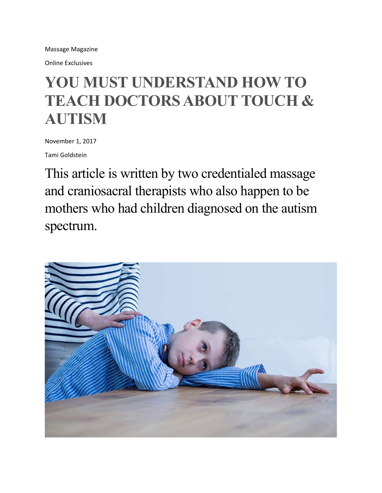Massage Magazine

Online Exclusives

# **YOU MUST UNDERSTAND HOW TO TEACH DOCTORS ABOUT TOUCH & AUTISM**

November 1, 2017

Tami Goldstein

This article is written by two credentialed massage and craniosacral therapists who also happen to be mothers who had children diagnosed on the autism spectrum.

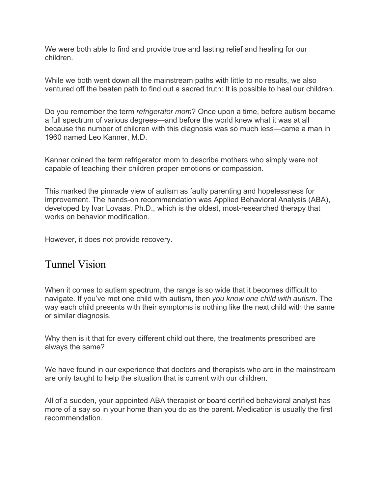We were both able to find and provide true and lasting relief and healing for our children.

While we both went down all the mainstream paths with little to no results, we also ventured off the beaten path to find out a sacred truth: It is possible to heal our children.

Do you remember the term *refrigerator mom*? Once upon a time, before autism became a full spectrum of various degrees—and before the world knew what it was at all because the number of children with this diagnosis was so much less—came a man in 1960 named Leo Kanner, M.D.

Kanner coined the term refrigerator mom to describe mothers who simply were not capable of teaching their children proper emotions or compassion.

This marked the pinnacle view of autism as faulty parenting and hopelessness for improvement. The hands-on recommendation was Applied Behavioral Analysis (ABA), developed by Ivar Lovaas, Ph.D., which is the oldest, most-researched therapy that works on behavior modification.

However, it does not provide recovery.

### Tunnel Vision

When it comes to autism spectrum, the range is so wide that it becomes difficult to navigate. If you've met one child with autism, then *you know one child with autism*. The way each child presents with their symptoms is nothing like the next child with the same or similar diagnosis.

Why then is it that for every different child out there, the treatments prescribed are always the same?

We have found in our experience that doctors and therapists who are in the mainstream are only taught to help the situation that is current with our children.

All of a sudden, your appointed ABA therapist or board certified behavioral analyst has more of a say so in your home than you do as the parent. Medication is usually the first recommendation.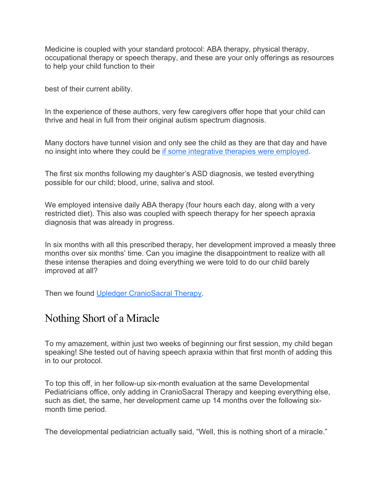Medicine is coupled with your standard protocol: ABA therapy, physical therapy, occupational therapy or speech therapy, and these are your only offerings as resources to help your child function to their

best of their current ability.

In the experience of these authors, very few caregivers offer hope that your child can thrive and heal in full from their original autism spectrum diagnosis.

Many doctors have tunnel vision and only see the child as they are that day and have no insight into where they could be if some integrative therapies were employed.

The first six months following my daughter's ASD diagnosis, we tested everything possible for our child; blood, urine, saliva and stool.

We employed intensive daily ABA therapy (four hours each day, along with a very restricted diet). This also was coupled with speech therapy for her speech apraxia diagnosis that was already in progress.

In six months with all this prescribed therapy, her development improved a measly three months over six months' time. Can you imagine the disappointment to realize with all these intense therapies and doing everything we were told to do our child barely improved at all?

Then we found Upledger CranioSacral Therapy.

## Nothing Short of a Miracle

To my amazement, within just two weeks of beginning our first session, my child began speaking! She tested out of having speech apraxia within that first month of adding this in to our protocol.

To top this off, in her follow-up six-month evaluation at the same Developmental Pediatricians office, only adding in CranioSacral Therapy and keeping everything else, such as diet, the same, her development came up 14 months over the following sixmonth time period.

The developmental pediatrician actually said, "Well, this is nothing short of a miracle."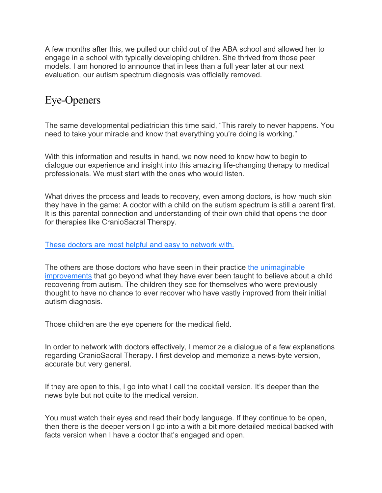A few months after this, we pulled our child out of the ABA school and allowed her to engage in a school with typically developing children. She thrived from those peer models. I am honored to announce that in less than a full year later at our next evaluation, our autism spectrum diagnosis was officially removed.

## Eye-Openers

The same developmental pediatrician this time said, "This rarely to never happens. You need to take your miracle and know that everything you're doing is working."

With this information and results in hand, we now need to know how to begin to dialogue our experience and insight into this amazing life-changing therapy to medical professionals. We must start with the ones who would listen.

What drives the process and leads to recovery, even among doctors, is how much skin they have in the game: A doctor with a child on the autism spectrum is still a parent first. It is this parental connection and understanding of their own child that opens the door for therapies like CranioSacral Therapy.

#### These doctors are most helpful and easy to network with.

The others are those doctors who have seen in their practice the unimaginable improvements that go beyond what they have ever been taught to believe about a child recovering from autism. The children they see for themselves who were previously thought to have no chance to ever recover who have vastly improved from their initial autism diagnosis.

Those children are the eye openers for the medical field.

In order to network with doctors effectively, I memorize a dialogue of a few explanations regarding CranioSacral Therapy. I first develop and memorize a news-byte version, accurate but very general.

If they are open to this, I go into what I call the cocktail version. It's deeper than the news byte but not quite to the medical version.

You must watch their eyes and read their body language. If they continue to be open, then there is the deeper version I go into a with a bit more detailed medical backed with facts version when I have a doctor that's engaged and open.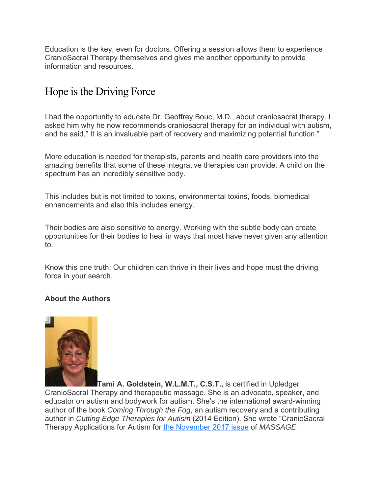Education is the key, even for doctors. Offering a session allows them to experience CranioSacral Therapy themselves and gives me another opportunity to provide information and resources.

# Hope is the Driving Force

I had the opportunity to educate Dr. Geoffrey Bouc, M.D., about craniosacral therapy. I asked him why he now recommends craniosacral therapy for an individual with autism, and he said," It is an invaluable part of recovery and maximizing potential function."

More education is needed for therapists, parents and health care providers into the amazing benefits that some of these integrative therapies can provide. A child on the spectrum has an incredibly sensitive body.

This includes but is not limited to toxins, environmental toxins, foods, biomedical enhancements and also this includes energy.

Their bodies are also sensitive to energy. Working with the subtle body can create opportunities for their bodies to heal in ways that most have never given any attention to.

Know this one truth: Our children can thrive in their lives and hope must the driving force in your search.

#### **About the Authors**



**Tami A. Goldstein, W.L.M.T., C.S.T.,** is certified in Upledger CranioSacral Therapy and therapeutic massage. She is an advocate, speaker, and educator on autism and bodywork for autism. She's the international award-winning author of the book *Coming Through the Fog*, an autism recovery and a contributing author in *Cutting Edge Therapies for Autism* (2014 Edition). She wrote "CranioSacral Therapy Applications for Autism for the November 2017 issue of *MASSAGE*